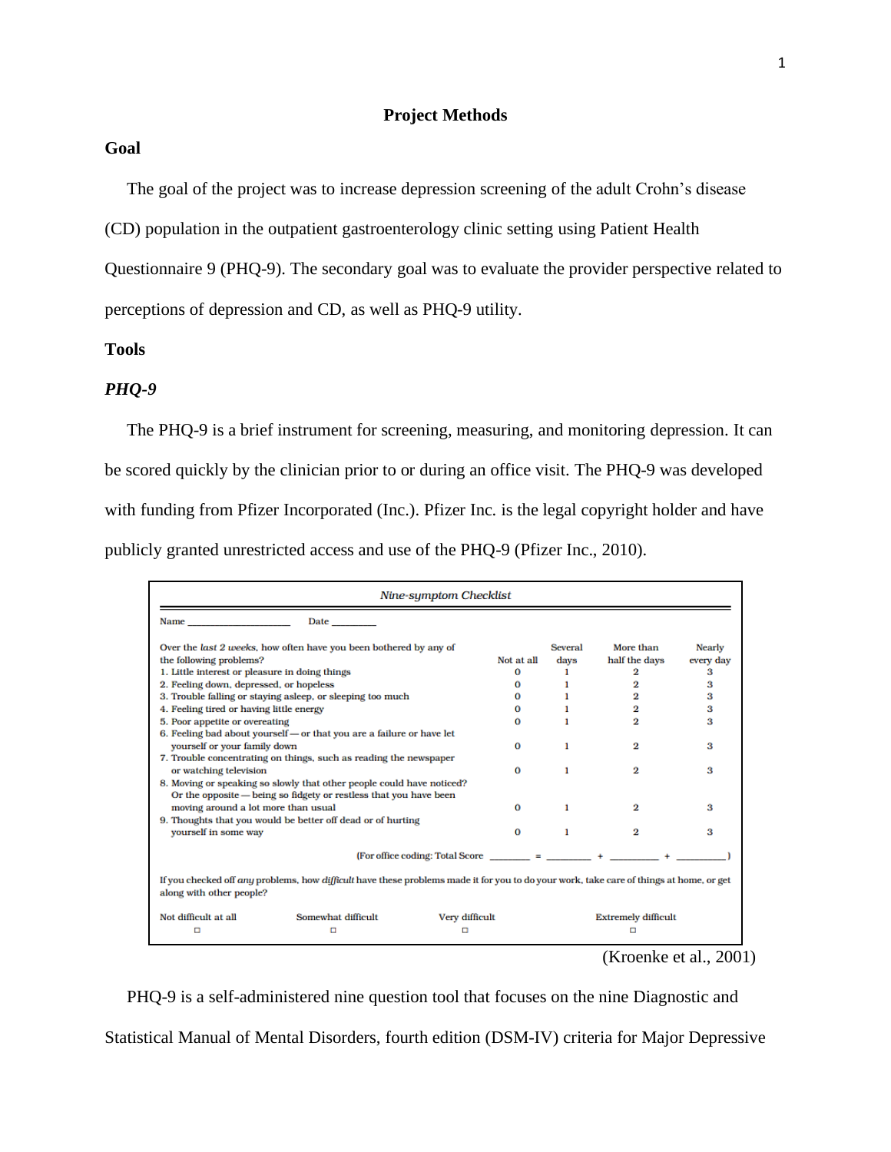# **Goal**

The goal of the project was to increase depression screening of the adult Crohn's disease

(CD) population in the outpatient gastroenterology clinic setting using Patient Health

Questionnaire 9 (PHQ-9). The secondary goal was to evaluate the provider perspective related to perceptions of depression and CD, as well as PHQ-9 utility.

### **Tools**

#### *PHQ-9*

The PHQ-9 is a brief instrument for screening, measuring, and monitoring depression. It can be scored quickly by the clinician prior to or during an office visit. The PHQ-9 was developed with funding from Pfizer Incorporated (Inc.). Pfizer Inc. is the legal copyright holder and have publicly granted unrestricted access and use of the PHQ-9 (Pfizer Inc., 2010).

|                                                                                                                                                                                                                               |                                                                                                                                         | Nine-symptom Checklist              |            |                            |                |               |  |
|-------------------------------------------------------------------------------------------------------------------------------------------------------------------------------------------------------------------------------|-----------------------------------------------------------------------------------------------------------------------------------------|-------------------------------------|------------|----------------------------|----------------|---------------|--|
| Name and the same state of the state of the state of the state of the state of the state of the state of the state of the state of the state of the state of the state of the state of the state of the state of the state of | <b>Date</b>                                                                                                                             |                                     |            |                            |                |               |  |
| Over the last 2 weeks, how often have you been bothered by any of                                                                                                                                                             |                                                                                                                                         |                                     |            | Several                    | More than      | <b>Nearly</b> |  |
| the following problems?                                                                                                                                                                                                       |                                                                                                                                         |                                     | Not at all | davs                       | half the days  | every day     |  |
| 1. Little interest or pleasure in doing things                                                                                                                                                                                |                                                                                                                                         |                                     | 0          | 1                          | 2              | з             |  |
| 2. Feeling down, depressed, or hopeless                                                                                                                                                                                       |                                                                                                                                         |                                     | $\Omega$   |                            | 2              | з             |  |
| 3. Trouble falling or staying asleep, or sleeping too much                                                                                                                                                                    |                                                                                                                                         |                                     | $\Omega$   | 1                          | 2              | 3             |  |
| 4. Feeling tired or having little energy                                                                                                                                                                                      |                                                                                                                                         |                                     | 0          | ı                          | 2              | з             |  |
| 5. Poor appetite or overeating                                                                                                                                                                                                |                                                                                                                                         |                                     | $\Omega$   |                            | 2              | з             |  |
|                                                                                                                                                                                                                               | 6. Feeling bad about yourself - or that you are a failure or have let                                                                   |                                     |            |                            |                |               |  |
| vourself or your family down                                                                                                                                                                                                  |                                                                                                                                         |                                     | $\Omega$   | 1                          | 2              | з             |  |
|                                                                                                                                                                                                                               | 7. Trouble concentrating on things, such as reading the newspaper                                                                       |                                     |            |                            |                |               |  |
| or watching television                                                                                                                                                                                                        |                                                                                                                                         |                                     | $\Omega$   | 1                          | 2              | з             |  |
|                                                                                                                                                                                                                               | 8. Moving or speaking so slowly that other people could have noticed?                                                                   |                                     |            |                            |                |               |  |
|                                                                                                                                                                                                                               | Or the opposite - being so fidgety or restless that you have been                                                                       |                                     |            |                            |                |               |  |
| moving around a lot more than usual                                                                                                                                                                                           |                                                                                                                                         |                                     | $\Omega$   | 1                          | 2              | з             |  |
|                                                                                                                                                                                                                               | 9. Thoughts that you would be better off dead or of hurting                                                                             |                                     |            |                            |                |               |  |
| yourself in some way                                                                                                                                                                                                          |                                                                                                                                         |                                     | $\Omega$   | 1                          | $\overline{2}$ | з             |  |
|                                                                                                                                                                                                                               |                                                                                                                                         | $(For office coding: Total Score =$ |            |                            |                |               |  |
| along with other people?                                                                                                                                                                                                      | If you checked off any problems, how difficult have these problems made it for you to do your work, take care of things at home, or get |                                     |            |                            |                |               |  |
| Not difficult at all                                                                                                                                                                                                          | Somewhat difficult                                                                                                                      | Very difficult                      |            | <b>Extremely difficult</b> |                |               |  |
|                                                                                                                                                                                                                               | п                                                                                                                                       |                                     |            |                            |                |               |  |
|                                                                                                                                                                                                                               |                                                                                                                                         |                                     |            |                            |                |               |  |

(Kroenke et al., 2001)

PHQ-9 is a self-administered nine question tool that focuses on the nine Diagnostic and

Statistical Manual of Mental Disorders, fourth edition (DSM-IV) criteria for Major Depressive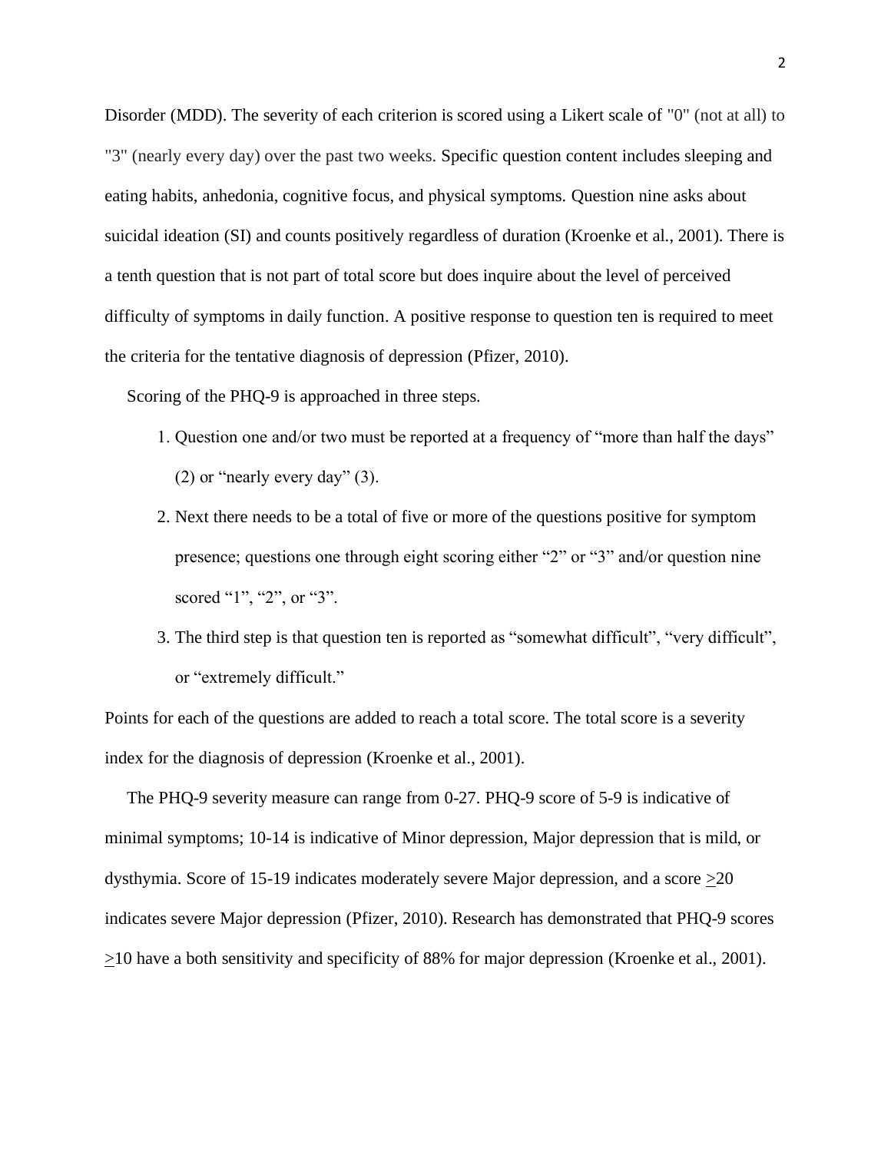Disorder (MDD). The severity of each criterion is scored using a Likert scale of "0" (not at all) to "3" (nearly every day) over the past two weeks. Specific question content includes sleeping and eating habits, anhedonia, cognitive focus, and physical symptoms. Question nine asks about suicidal ideation (SI) and counts positively regardless of duration (Kroenke et al., 2001). There is a tenth question that is not part of total score but does inquire about the level of perceived difficulty of symptoms in daily function. A positive response to question ten is required to meet the criteria for the tentative diagnosis of depression (Pfizer, 2010).

Scoring of the PHQ-9 is approached in three steps.

- 1. Question one and/or two must be reported at a frequency of "more than half the days" (2) or "nearly every day" (3).
- 2. Next there needs to be a total of five or more of the questions positive for symptom presence; questions one through eight scoring either "2" or "3" and/or question nine scored "1", "2", or "3".
- 3. The third step is that question ten is reported as "somewhat difficult", "very difficult", or "extremely difficult."

Points for each of the questions are added to reach a total score. The total score is a severity index for the diagnosis of depression (Kroenke et al., 2001).

 The PHQ-9 severity measure can range from 0-27. PHQ-9 score of 5-9 is indicative of minimal symptoms; 10-14 is indicative of Minor depression, Major depression that is mild, or dysthymia. Score of 15-19 indicates moderately severe Major depression, and a score >20 indicates severe Major depression (Pfizer, 2010). Research has demonstrated that PHQ-9 scores  $\geq$ 10 have a both sensitivity and specificity of 88% for major depression (Kroenke et al., 2001).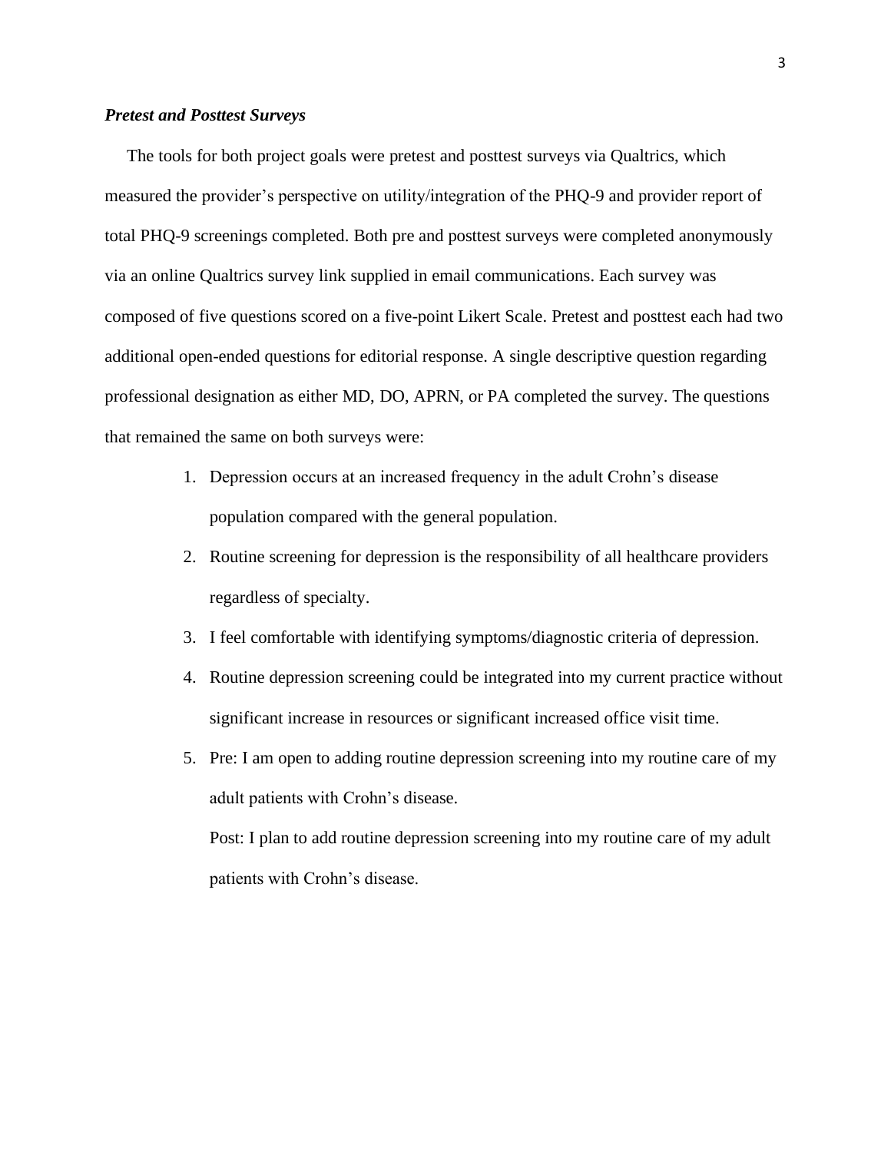#### *Pretest and Posttest Surveys*

 The tools for both project goals were pretest and posttest surveys via Qualtrics, which measured the provider's perspective on utility/integration of the PHQ-9 and provider report of total PHQ-9 screenings completed. Both pre and posttest surveys were completed anonymously via an online Qualtrics survey link supplied in email communications. Each survey was composed of five questions scored on a five-point Likert Scale. Pretest and posttest each had two additional open-ended questions for editorial response. A single descriptive question regarding professional designation as either MD, DO, APRN, or PA completed the survey. The questions that remained the same on both surveys were:

- 1. Depression occurs at an increased frequency in the adult Crohn's disease population compared with the general population.
- 2. Routine screening for depression is the responsibility of all healthcare providers regardless of specialty.
- 3. I feel comfortable with identifying symptoms/diagnostic criteria of depression.
- 4. Routine depression screening could be integrated into my current practice without significant increase in resources or significant increased office visit time.
- 5. Pre: I am open to adding routine depression screening into my routine care of my adult patients with Crohn's disease.

Post: I plan to add routine depression screening into my routine care of my adult patients with Crohn's disease.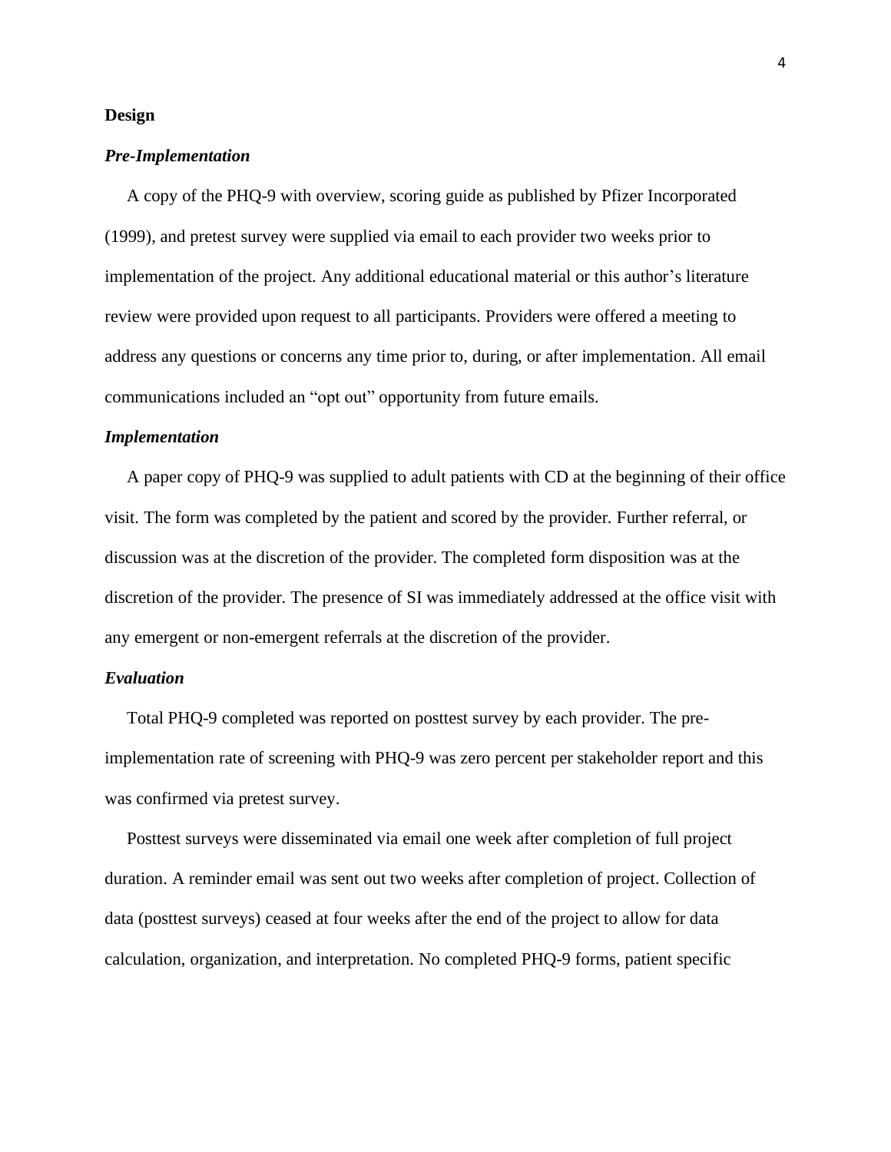#### **Design**

### *Pre-Implementation*

 A copy of the PHQ-9 with overview, scoring guide as published by Pfizer Incorporated (1999), and pretest survey were supplied via email to each provider two weeks prior to implementation of the project. Any additional educational material or this author's literature review were provided upon request to all participants. Providers were offered a meeting to address any questions or concerns any time prior to, during, or after implementation. All email communications included an "opt out" opportunity from future emails.

#### *Implementation*

 A paper copy of PHQ-9 was supplied to adult patients with CD at the beginning of their office visit. The form was completed by the patient and scored by the provider. Further referral, or discussion was at the discretion of the provider. The completed form disposition was at the discretion of the provider. The presence of SI was immediately addressed at the office visit with any emergent or non-emergent referrals at the discretion of the provider.

### *Evaluation*

 Total PHQ-9 completed was reported on posttest survey by each provider. The preimplementation rate of screening with PHQ-9 was zero percent per stakeholder report and this was confirmed via pretest survey.

 Posttest surveys were disseminated via email one week after completion of full project duration. A reminder email was sent out two weeks after completion of project. Collection of data (posttest surveys) ceased at four weeks after the end of the project to allow for data calculation, organization, and interpretation. No completed PHQ-9 forms, patient specific